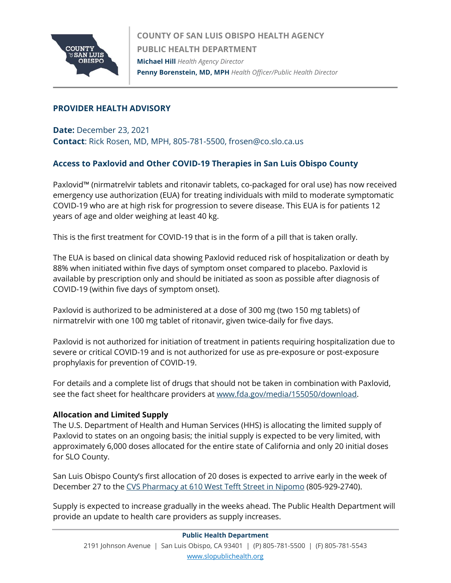

# **PROVIDER HEALTH ADVISORY**

**Date:** December 23, 2021 **Contact**: Rick Rosen, MD, MPH, 805-781-5500, frosen@co.slo.ca.us

# **Access to Paxlovid and Other COVID-19 Therapies in San Luis Obispo County**

Paxlovid™ (nirmatrelvir tablets and ritonavir tablets, co-packaged for oral use) has now received emergency use authorization (EUA) for treating individuals with mild to moderate symptomatic COVID-19 who are at high risk for progression to severe disease. This EUA is for patients 12 years of age and older weighing at least 40 kg.

This is the first treatment for COVID-19 that is in the form of a pill that is taken orally.

The EUA is based on clinical data showing Paxlovid reduced risk of hospitalization or death by 88% when initiated within five days of symptom onset compared to placebo. Paxlovid is available by prescription only and should be initiated as soon as possible after diagnosis of COVID-19 (within five days of symptom onset).

Paxlovid is authorized to be administered at a dose of 300 mg (two 150 mg tablets) of nirmatrelvir with one 100 mg tablet of ritonavir, given twice-daily for five days.

Paxlovid is not authorized for initiation of treatment in patients requiring hospitalization due to severe or critical COVID-19 and is not authorized for use as pre-exposure or post-exposure prophylaxis for prevention of COVID-19.

For details and a complete list of drugs that should not be taken in combination with Paxlovid, see the fact sheet for healthcare providers at [www.fda.gov/media/155050/download.](http://www.fda.gov/media/155050/download)

#### **Allocation and Limited Supply**

The U.S. Department of Health and Human Services (HHS) is allocating the limited supply of Paxlovid to states on an ongoing basis; the initial supply is expected to be very limited, with approximately 6,000 doses allocated for the entire state of California and only 20 initial doses for SLO County.

San Luis Obispo County's first allocation of 20 doses is expected to arrive early in the week of December 27 to the [CVS Pharmacy at 610 West Tefft Street in Nipomo](https://www.cvs.com/store-locator/nipomo-ca-pharmacies/610-west-tefft-street-tefft-street-and-mary-nipomo-ca-93444/storeid=9782) (805-929-2740).

Supply is expected to increase gradually in the weeks ahead. The Public Health Department will provide an update to health care providers as supply increases.